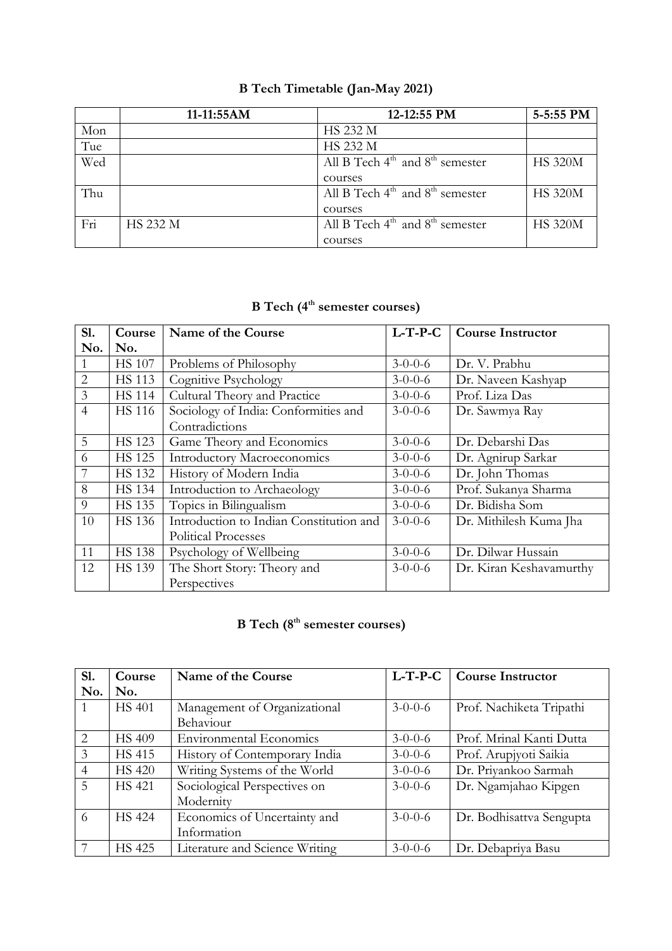|     | 11-11:55AM      | 12-12:55 PM                                             | 5-5:55 PM      |
|-----|-----------------|---------------------------------------------------------|----------------|
| Mon |                 | <b>HS 232 M</b>                                         |                |
| Tue |                 | <b>HS 232 M</b>                                         |                |
| Wed |                 | All B Tech $4^{\text{th}}$ and $8^{\text{th}}$ semester | <b>HS 320M</b> |
|     |                 | courses                                                 |                |
| Thu |                 | All B Tech $4^{\text{th}}$ and $8^{\text{th}}$ semester | <b>HS 320M</b> |
|     |                 | courses                                                 |                |
| Fri | <b>HS 232 M</b> | All B Tech $4^{\text{th}}$ and $8^{\text{th}}$ semester | <b>HS 320M</b> |
|     |                 | courses                                                 |                |

### **B Tech Timetable (Jan-May 2021)**

#### **B Tech (4 th semester courses)**

| S1.            | Course        | Name of the Course                      | $L-T-P-C$       | <b>Course Instructor</b> |
|----------------|---------------|-----------------------------------------|-----------------|--------------------------|
| No.            | No.           |                                         |                 |                          |
| $\mathbf{1}$   | <b>HS 107</b> | Problems of Philosophy                  | $3-0-0-6$       | Dr. V. Prabhu            |
| $\overline{2}$ | <b>HS 113</b> | Cognitive Psychology                    | $3 - 0 - 0 - 6$ | Dr. Naveen Kashyap       |
| $\overline{3}$ | <b>HS 114</b> | Cultural Theory and Practice            | $3 - 0 - 0 - 6$ | Prof. Liza Das           |
| $\overline{4}$ | <b>HS</b> 116 | Sociology of India: Conformities and    | $3 - 0 - 0 - 6$ | Dr. Sawmya Ray           |
|                |               | Contradictions                          |                 |                          |
| 5              | <b>HS 123</b> | Game Theory and Economics               | $3 - 0 - 0 - 6$ | Dr. Debarshi Das         |
| 6              | <b>HS 125</b> | <b>Introductory Macroeconomics</b>      | $3-0-0-6$       | Dr. Agnirup Sarkar       |
| 7              | <b>HS 132</b> | History of Modern India                 | $3-0-0-6$       | Dr. John Thomas          |
| 8              | <b>HS 134</b> | Introduction to Archaeology             | $3 - 0 - 0 - 6$ | Prof. Sukanya Sharma     |
| 9              | <b>HS 135</b> | Topics in Bilingualism                  | $3-0-0-6$       | Dr. Bidisha Som          |
| 10             | <b>HS</b> 136 | Introduction to Indian Constitution and | $3 - 0 - 0 - 6$ | Dr. Mithilesh Kuma Jha   |
|                |               | <b>Political Processes</b>              |                 |                          |
| 11             | <b>HS 138</b> | Psychology of Wellbeing                 | $3-0-0-6$       | Dr. Dilwar Hussain       |
| 12             | <b>HS 139</b> | The Short Story: Theory and             | $3 - 0 - 0 - 6$ | Dr. Kiran Keshavamurthy  |
|                |               | Perspectives                            |                 |                          |

| <b>S1.</b>     | Course        | Name of the Course             | $L$ -T-P-C      | <b>Course Instructor</b> |
|----------------|---------------|--------------------------------|-----------------|--------------------------|
| No.            | No.           |                                |                 |                          |
|                | <b>HS 401</b> | Management of Organizational   | $3-0-0-6$       | Prof. Nachiketa Tripathi |
|                |               | Behaviour                      |                 |                          |
| 2              | <b>HS 409</b> | <b>Environmental Economics</b> | $3 - 0 - 0 - 6$ | Prof. Mrinal Kanti Dutta |
| 3              | <b>HS 415</b> | History of Contemporary India  | $3-0-0-6$       | Prof. Arupjyoti Saikia   |
| $\overline{4}$ | <b>HS 420</b> | Writing Systems of the World   | $3 - 0 - 0 - 6$ | Dr. Priyankoo Sarmah     |
| 5              | <b>HS</b> 421 | Sociological Perspectives on   | $3 - 0 - 0 - 6$ | Dr. Ngamjahao Kipgen     |
|                |               | Modernity                      |                 |                          |
| 6              | <b>HS 424</b> | Economics of Uncertainty and   | $3-0-0-6$       | Dr. Bodhisattva Sengupta |
|                |               | Information                    |                 |                          |
|                | <b>HS 425</b> | Literature and Science Writing | $3 - 0 - 0 - 6$ | Dr. Debapriya Basu       |